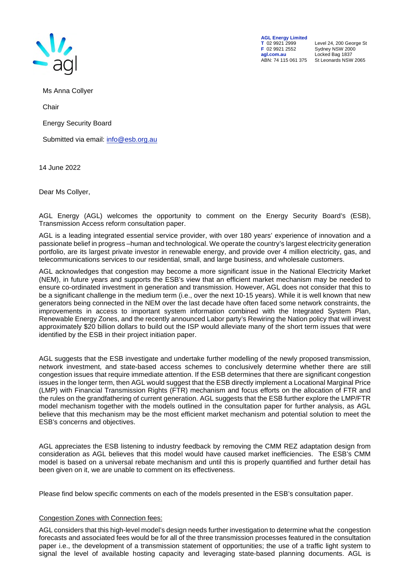

**AGL Energy Limited**<br> **T** 02 9921 2999<br> **F** 02 9921 2552 **F** 02 9921 2552 Sydney NSW 2000 ABN: 74 115 061 375

**T** 02 9921 2999 Level 24, 200 George St **agl.com.au** Locked Bag 1837<br>ABN: 74 115 061 375 St Leonards NSW 2065

Ms Anna Collyer

Chair

Energy Security Board

Submitted via email: info@esb.org.au

14 June 2022

Dear Ms Collyer,

AGL Energy (AGL) welcomes the opportunity to comment on the Energy Security Board's (ESB), Transmission Access reform consultation paper.

AGL is a leading integrated essential service provider, with over 180 years' experience of innovation and a passionate belief in progress –human and technological. We operate the country's largest electricity generation portfolio, are its largest private investor in renewable energy, and provide over 4 million electricity, gas, and telecommunications services to our residential, small, and large business, and wholesale customers.

AGL acknowledges that congestion may become a more significant issue in the National Electricity Market (NEM), in future years and supports the ESB's view that an efficient market mechanism may be needed to ensure co-ordinated investment in generation and transmission. However, AGL does not consider that this to be a significant challenge in the medium term (i.e., over the next 10-15 years). While it is well known that new generators being connected in the NEM over the last decade have often faced some network constraints, the improvements in access to important system information combined with the Integrated System Plan, Renewable Energy Zones, and the recently announced Labor party's Rewiring the Nation policy that will invest approximately \$20 billion dollars to build out the ISP would alleviate many of the short term issues that were identified by the ESB in their project initiation paper.

AGL suggests that the ESB investigate and undertake further modelling of the newly proposed transmission, network investment, and state-based access schemes to conclusively determine whether there are still congestion issues that require immediate attention. If the ESB determines that there are significant congestion issues in the longer term, then AGL would suggest that the ESB directly implement a Locational Marginal Price (LMP) with Financial Transmission Rights (FTR) mechanism and focus efforts on the allocation of FTR and the rules on the grandfathering of current generation. AGL suggests that the ESB further explore the LMP/FTR model mechanism together with the models outlined in the consultation paper for further analysis, as AGL believe that this mechanism may be the most efficient market mechanism and potential solution to meet the ESB's concerns and objectives.

AGL appreciates the ESB listening to industry feedback by removing the CMM REZ adaptation design from consideration as AGL believes that this model would have caused market inefficiencies. The ESB's CMM model is based on a universal rebate mechanism and until this is properly quantified and further detail has been given on it, we are unable to comment on its effectiveness.

Please find below specific comments on each of the models presented in the ESB's consultation paper.

## Congestion Zones with Connection fees:

AGL considers that this high-level model's design needs further investigation to determine what the congestion forecasts and associated fees would be for all of the three transmission processes featured in the consultation paper i.e., the development of a transmission statement of opportunities; the use of a traffic light system to signal the level of available hosting capacity and leveraging state-based planning documents. AGL is